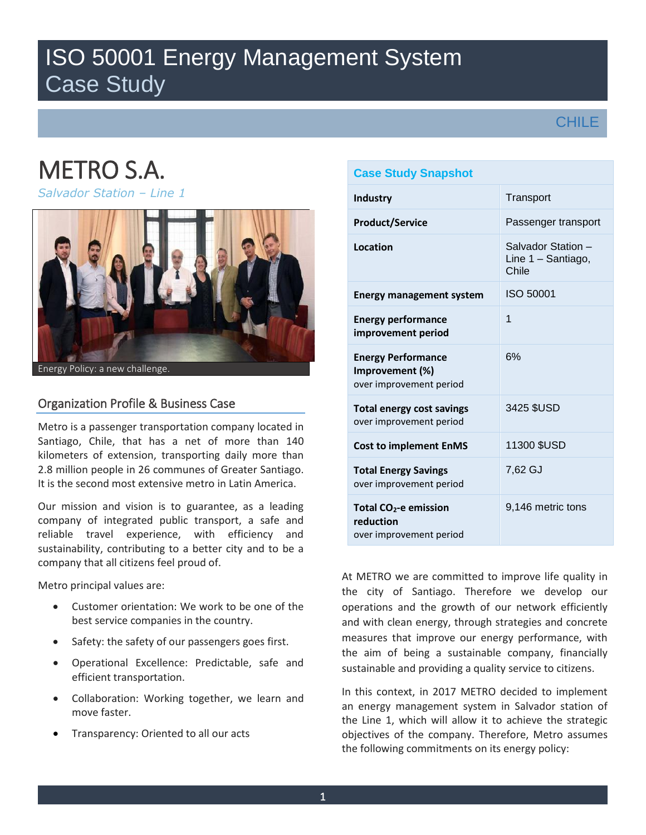## ISO 50001 Energy Management System Case Study

## **CHILE**

# METRO S.A.

*Salvador Station – Line 1* 



Energy Policy: a new challenge.

### Organization Profile & Business Case

Metro is a passenger transportation company located in Santiago, Chile, that has a net of more than 140 kilometers of extension, transporting daily more than 2.8 million people in 26 communes of Greater Santiago. It is the second most extensive metro in Latin America.

Our mission and vision is to guarantee, as a leading company of integrated public transport, a safe and reliable travel experience, with efficiency and sustainability, contributing to a better city and to be a company that all citizens feel proud of.

Metro principal values are:

- Customer orientation: We work to be one of the best service companies in the country.
- Safety: the safety of our passengers goes first.
- Operational Excellence: Predictable, safe and efficient transportation.
- Collaboration: Working together, we learn and move faster.
- Transparency: Oriented to all our acts

## **Case Study Snapshot Industry** Transport **Product/Service** Passenger transport **Location** Salvador Station – Line 1 – Santiago, Chile **Energy management system** ISO 50001 **Energy performance improvement period**  1 **Energy Performance Improvement (%)** over improvement period 6% **Total energy cost savings** over improvement period 3425 \$USD **Cost to implement EnMS** 11300 \$USD **Total Energy Savings**  over improvement period 7,62 GJ **Total CO2-e emission reduction**  over improvement period 9,146 metric tons

At METRO we are committed to improve life quality in the city of Santiago. Therefore we develop our operations and the growth of our network efficiently and with clean energy, through strategies and concrete measures that improve our energy performance, with the aim of being a sustainable company, financially sustainable and providing a quality service to citizens.

In this context, in 2017 METRO decided to implement an energy management system in Salvador station of the Line 1, which will allow it to achieve the strategic objectives of the company. Therefore, Metro assumes the following commitments on its energy policy: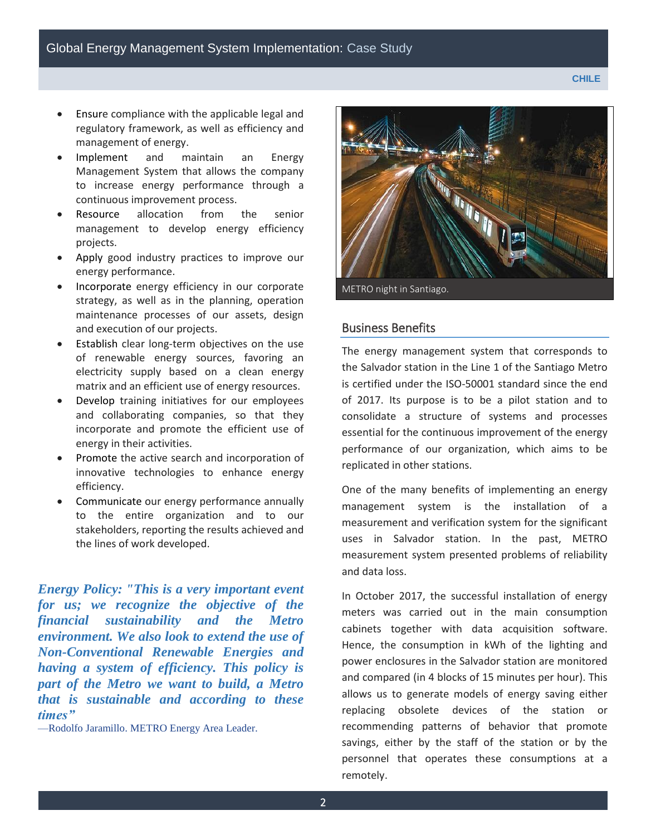- Ensure compliance with the applicable legal and regulatory framework, as well as efficiency and management of energy.
- Implement and maintain an Energy Management System that allows the company to increase energy performance through a continuous improvement process.
- Resource allocation from the senior management to develop energy efficiency projects.
- Apply good industry practices to improve our energy performance.
- Incorporate energy efficiency in our corporate strategy, as well as in the planning, operation maintenance processes of our assets, design and execution of our projects.
- Establish clear long-term objectives on the use of renewable energy sources, favoring an electricity supply based on a clean energy matrix and an efficient use of energy resources.
- Develop training initiatives for our employees and collaborating companies, so that they incorporate and promote the efficient use of energy in their activities.
- Promote the active search and incorporation of innovative technologies to enhance energy efficiency.
- Communicate our energy performance annually to the entire organization and to our stakeholders, reporting the results achieved and the lines of work developed.

*Energy Policy: "This is a very important event for us; we recognize the objective of the financial sustainability and the Metro environment. We also look to extend the use of Non-Conventional Renewable Energies and having a system of efficiency. This policy is part of the Metro we want to build, a Metro that is sustainable and according to these times"*

—Rodolfo Jaramillo. METRO Energy Area Leader.



### Business Benefits

The energy management system that corresponds to the Salvador station in the Line 1 of the Santiago Metro is certified under the ISO-50001 standard since the end of 2017. Its purpose is to be a pilot station and to consolidate a structure of systems and processes essential for the continuous improvement of the energy performance of our organization, which aims to be replicated in other stations.

One of the many benefits of implementing an energy management system is the installation of a measurement and verification system for the significant uses in Salvador station. In the past, METRO measurement system presented problems of reliability and data loss.

In October 2017, the successful installation of energy meters was carried out in the main consumption cabinets together with data acquisition software. Hence, the consumption in kWh of the lighting and power enclosures in the Salvador station are monitored and compared (in 4 blocks of 15 minutes per hour). This allows us to generate models of energy saving either replacing obsolete devices of the station or recommending patterns of behavior that promote savings, either by the staff of the station or by the personnel that operates these consumptions at a remotely.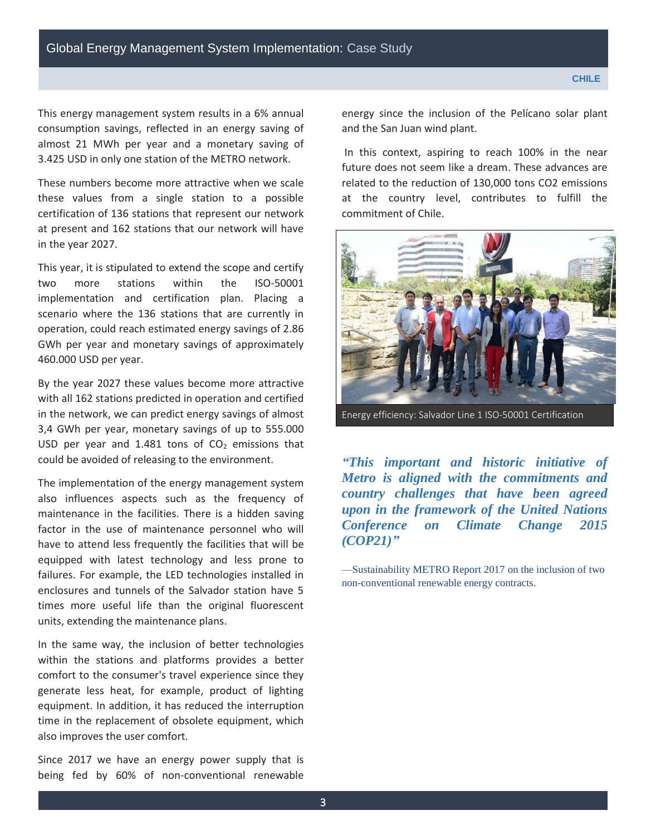This energy management system results in a 6% annual consumption savings, reflected in an energy saving of almost 21 MWh per year and a monetary saving of 3.425 USD in only one station of the METRO network.

These numbers become more attractive when we scale these values from a single station to a possible certification of 136 stations that represent our network at present and 162 stations that our network will have in the year 2027.

This year, it is stipulated to extend the scope and certify two more stations within the ISO-50001 implementation and certification plan. Placing a scenario where the 136 stations that are currently in operation, could reach estimated energy savings of 2.86 GWh per year and monetary savings of approximately 460.000 USD per year.

By the year 2027 these values become more attractive with all 162 stations predicted in operation and certified in the network, we can predict energy savings of almost 3,4 GWh per year, monetary savings of up to 555.000 USD per year and 1.481 tons of  $CO<sub>2</sub>$  emissions that could be avoided of releasing to the environment.

The implementation of the energy management system also influences aspects such as the frequency of maintenance in the facilities. There is a hidden saving factor in the use of maintenance personnel who will have to attend less frequently the facilities that will be equipped with latest technology and less prone to failures. For example, the LED technologies installed in enclosures and tunnels of the Salvador station have 5 times more useful life than the original fluorescent units, extending the maintenance plans.

In the same way, the inclusion of better technologies within the stations and platforms provides a better comfort to the consumer's travel experience since they generate less heat, for example, product of lighting equipment. In addition, it has reduced the interruption time in the replacement of obsolete equipment, which also improves the user comfort.

Since 2017 we have an energy power supply that is being fed by 60% of non-conventional renewable energy since the inclusion of the Pelícano solar plant and the San Juan wind plant.

 In this context, aspiring to reach 100% in the near future does not seem like a dream. These advances are related to the reduction of 130,000 tons CO2 emissions at the country level, contributes to fulfill the commitment of Chile.

Energy efficiency: Salvador Line 1 ISO-50001 Certification

*"This important and historic initiative of Metro is aligned with the commitments and country challenges that have been agreed upon in the framework of the United Nations Conference on Climate Change 2015 (COP21)"*

—Sustainability METRO Report 2017 on the inclusion of two non-conventional renewable energy contracts.

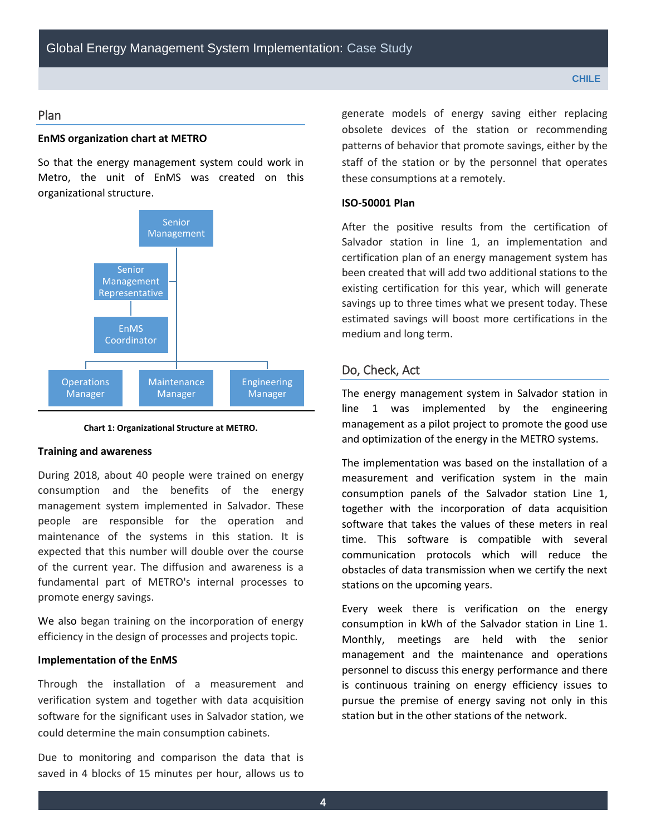#### Plan

#### **EnMS organization chart at METRO**

So that the energy management system could work in Metro, the unit of EnMS was created on this organizational structure.



**Chart 1: Organizational Structure at METRO.** 

#### **Training and awareness**

During 2018, about 40 people were trained on energy consumption and the benefits of the energy management system implemented in Salvador. These people are responsible for the operation and maintenance of the systems in this station. It is expected that this number will double over the course of the current year. The diffusion and awareness is a fundamental part of METRO's internal processes to promote energy savings.

We also began training on the incorporation of energy efficiency in the design of processes and projects topic.

#### **Implementation of the EnMS**

Through the installation of a measurement and verification system and together with data acquisition software for the significant uses in Salvador station, we could determine the main consumption cabinets.

Due to monitoring and comparison the data that is saved in 4 blocks of 15 minutes per hour, allows us to generate models of energy saving either replacing obsolete devices of the station or recommending patterns of behavior that promote savings, either by the staff of the station or by the personnel that operates these consumptions at a remotely.

#### **ISO-50001 Plan**

After the positive results from the certification of Salvador station in line 1, an implementation and certification plan of an energy management system has been created that will add two additional stations to the existing certification for this year, which will generate savings up to three times what we present today. These estimated savings will boost more certifications in the medium and long term.

#### Do, Check, Act

The energy management system in Salvador station in line 1 was implemented by the engineering management as a pilot project to promote the good use and optimization of the energy in the METRO systems.

The implementation was based on the installation of a measurement and verification system in the main consumption panels of the Salvador station Line 1, together with the incorporation of data acquisition software that takes the values of these meters in real time. This software is compatible with several communication protocols which will reduce the obstacles of data transmission when we certify the next stations on the upcoming years.

Every week there is verification on the energy consumption in kWh of the Salvador station in Line 1. Monthly, meetings are held with the senior management and the maintenance and operations personnel to discuss this energy performance and there is continuous training on energy efficiency issues to pursue the premise of energy saving not only in this station but in the other stations of the network.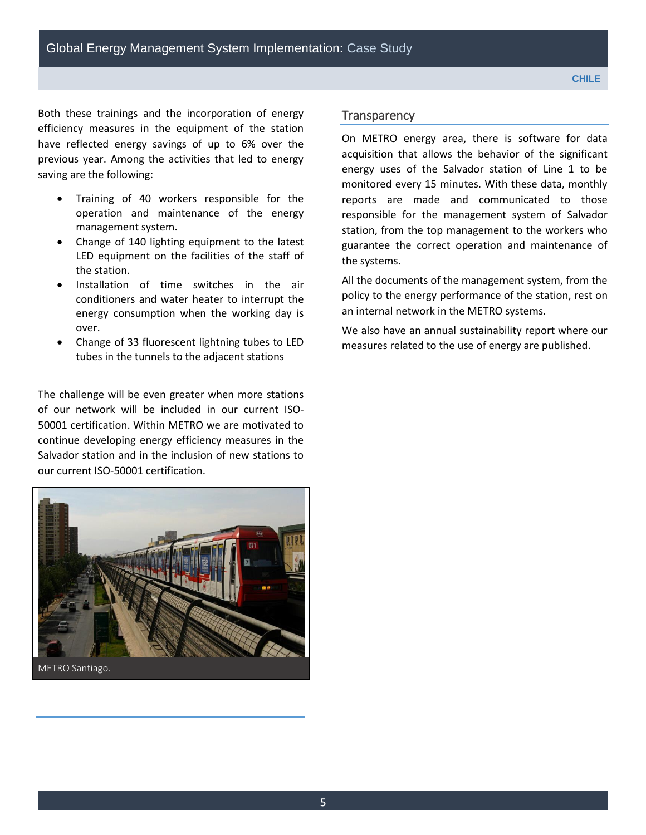Both these trainings and the incorporation of energy efficiency measures in the equipment of the station have reflected energy savings of up to 6% over the previous year. Among the activities that led to energy saving are the following:

- Training of 40 workers responsible for the operation and maintenance of the energy management system.
- Change of 140 lighting equipment to the latest LED equipment on the facilities of the staff of the station.
- Installation of time switches in the air conditioners and water heater to interrupt the energy consumption when the working day is over.
- Change of 33 fluorescent lightning tubes to LED tubes in the tunnels to the adjacent stations

The challenge will be even greater when more stations of our network will be included in our current ISO-50001 certification. Within METRO we are motivated to continue developing energy efficiency measures in the Salvador station and in the inclusion of new stations to our current ISO-50001 certification.



METRO Santiago.

#### **Transparency**

On METRO energy area, there is software for data acquisition that allows the behavior of the significant energy uses of the Salvador station of Line 1 to be monitored every 15 minutes. With these data, monthly reports are made and communicated to those responsible for the management system of Salvador station, from the top management to the workers who guarantee the correct operation and maintenance of the systems.

All the documents of the management system, from the policy to the energy performance of the station, rest on an internal network in the METRO systems.

We also have an annual sustainability report where our measures related to the use of energy are published.